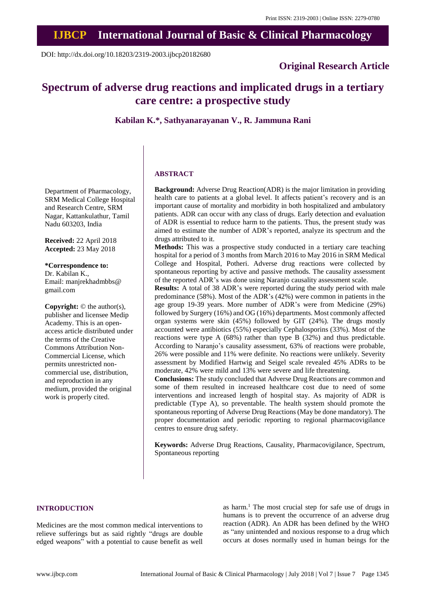# **IJBCP International Journal of Basic & Clinical Pharmacology**

DOI: http://dx.doi.org/10.18203/2319-2003.ijbcp20182680

## **Original Research Article**

## **Spectrum of adverse drug reactions and implicated drugs in a tertiary care centre: a prospective study**

**Kabilan K.\*, Sathyanarayanan V., R. Jammuna Rani**

## **ABSTRACT**

**Background:** Adverse Drug Reaction(ADR) is the major limitation in providing health care to patients at a global level. It affects patient's recovery and is an important cause of mortality and morbidity in both hospitalized and ambulatory patients. ADR can occur with any class of drugs. Early detection and evaluation of ADR is essential to reduce harm to the patients. Thus, the present study was aimed to estimate the number of ADR's reported, analyze its spectrum and the drugs attributed to it.

**Methods:** This was a prospective study conducted in a tertiary care teaching hospital for a period of 3 months from March 2016 to May 2016 in SRM Medical College and Hospital, Potheri. Adverse drug reactions were collected by spontaneous reporting by active and passive methods. The causality assessment of the reported ADR's was done using Naranjo causality assessment scale.

**Results:** A total of 38 ADR's were reported during the study period with male predominance (58%). Most of the ADR's (42%) were common in patients in the age group 19-39 years. More number of ADR's were from Medicine (29%) followed by Surgery (16%) and OG (16%) departments. Most commonly affected organ systems were skin (45%) followed by GIT (24%). The drugs mostly accounted were antibiotics (55%) especially Cephalosporins (33%). Most of the reactions were type A (68%) rather than type B (32%) and thus predictable. According to Naranjo's causality assessment, 63% of reactions were probable, 26% were possible and 11% were definite. No reactions were unlikely. Severity assessment by Modified Hartwig and Seigel scale revealed 45% ADRs to be moderate, 42% were mild and 13% were severe and life threatening.

**Conclusions:** The study concluded that Adverse Drug Reactions are common and some of them resulted in increased healthcare cost due to need of some interventions and increased length of hospital stay. As majority of ADR is predictable (Type A), so preventable. The health system should promote the spontaneous reporting of Adverse Drug Reactions (May be done mandatory). The proper documentation and periodic reporting to regional pharmacovigilance centres to ensure drug safety.

**Keywords:** Adverse Drug Reactions, Causality, Pharmacovigilance, Spectrum, Spontaneous reporting

## **INTRODUCTION**

Medicines are the most common medical interventions to relieve sufferings but as said rightly "drugs are double edged weapons" with a potential to cause benefit as well

as harm. <sup>1</sup> The most crucial step for safe use of drugs in humans is to prevent the occurrence of an adverse drug reaction (ADR). An ADR has been defined by the WHO as "any unintended and noxious response to a drug which occurs at doses normally used in human beings for the

Department of Pharmacology, SRM Medical College Hospital and Research Centre, SRM Nagar, Kattankulathur, Tamil Nadu 603203, India

**Received:** 22 April 2018 **Accepted:** 23 May 2018

**\*Correspondence to:** Dr. Kabilan K., Email: manjrekhadmbbs@ gmail.com

**Copyright:** © the author(s), publisher and licensee Medip Academy. This is an openaccess article distributed under the terms of the Creative Commons Attribution Non-Commercial License, which permits unrestricted noncommercial use, distribution, and reproduction in any medium, provided the original work is properly cited.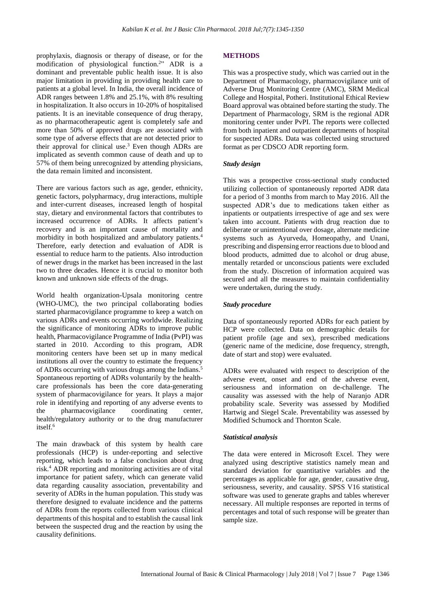prophylaxis, diagnosis or therapy of disease, or for the modification of physiological function.<sup>2</sup>" ADR is a dominant and preventable public health issue. It is also major limitation in providing in providing health care to patients at a global level. In India, the overall incidence of ADR ranges between 1.8% and 25.1%, with 8% resulting in hospitalization. It also occurs in 10-20% of hospitalised patients. It is an inevitable consequence of drug therapy, as no pharmacotherapeutic agent is completely safe and more than 50% of approved drugs are associated with some type of adverse effects that are not detected prior to their approval for clinical use.<sup>3</sup> Even though ADRs are implicated as seventh common cause of death and up to 57% of them being unrecognized by attending physicians, the data remain limited and inconsistent.

There are various factors such as age, gender, ethnicity, genetic factors, polypharmacy, drug interactions, multiple and inter-current diseases, increased length of hospital stay, dietary and environmental factors that contributes to increased occurrence of ADRs. It affects patient's recovery and is an important cause of mortality and morbidity in both hospitalized and ambulatory patients. 4 Therefore, early detection and evaluation of ADR is essential to reduce harm to the patients. Also introduction of newer drugs in the market has been increased in the last two to three decades. Hence it is crucial to monitor both known and unknown side effects of the drugs.

World health organization-Upsala monitoring centre (WHO-UMC), the two principal collaborating bodies started pharmacovigilance programme to keep a watch on various ADRs and events occurring worldwide. Realizing the significance of monitoring ADRs to improve public health, Pharmacovigilance Programme of India (PvPI) was started in 2010. According to this program, ADR monitoring centers have been set up in many medical institutions all over the country to estimate the frequency of ADRs occurring with various drugs among the Indians. 5 Spontaneous reporting of ADRs voluntarily by the healthcare professionals has been the core data-generating system of pharmacovigilance for years. It plays a major role in identifying and reporting of any adverse events to the pharmacovigilance coordinating center, health/regulatory authority or to the drug manufacturer itself. 6

The main drawback of this system by health care professionals (HCP) is under-reporting and selective reporting, which leads to a false conclusion about drug risk. <sup>4</sup> ADR reporting and monitoring activities are of vital importance for patient safety, which can generate valid data regarding causality association, preventability and severity of ADRs in the human population. This study was therefore designed to evaluate incidence and the patterns of ADRs from the reports collected from various clinical departments of this hospital and to establish the causal link between the suspected drug and the reaction by using the causality definitions.

## **METHODS**

This was a prospective study, which was carried out in the Department of Pharmacology, pharmacovigilance unit of Adverse Drug Monitoring Centre (AMC), SRM Medical College and Hospital, Potheri. Institutional Ethical Review Board approval was obtained before starting the study. The Department of Pharmacology, SRM is the regional ADR monitoring center under PvPI. The reports were collected from both inpatient and outpatient departments of hospital for suspected ADRs. Data was collected using structured format as per CDSCO ADR reporting form.

#### *Study design*

This was a prospective cross-sectional study conducted utilizing collection of spontaneously reported ADR data for a period of 3 months from march to May 2016. All the suspected ADR's due to medications taken either as inpatients or outpatients irrespective of age and sex were taken into account. Patients with drug reaction due to deliberate or unintentional over dosage, alternate medicine systems such as Ayurveda, Homeopathy, and Unani, prescribing and dispensing error reactions due to blood and blood products, admitted due to alcohol or drug abuse, mentally retarded or unconscious patients were excluded from the study. Discretion of information acquired was secured and all the measures to maintain confidentiality were undertaken, during the study.

#### *Study procedure*

Data of spontaneously reported ADRs for each patient by HCP were collected. Data on demographic details for patient profile (age and sex), prescribed medications (generic name of the medicine, dose frequency, strength, date of start and stop) were evaluated.

ADRs were evaluated with respect to description of the adverse event, onset and end of the adverse event, seriousness and information on de-challenge. The causality was assessed with the help of Naranjo ADR probability scale. Severity was assessed by Modified Hartwig and Siegel Scale. Preventability was assessed by Modified Schumock and Thornton Scale.

#### *Statistical analysis*

The data were entered in Microsoft Excel. They were analyzed using descriptive statistics namely mean and standard deviation for quantitative variables and the percentages as applicable for age, gender, causative drug, seriousness, severity, and causality. SPSS V16 statistical software was used to generate graphs and tables wherever necessary. All multiple responses are reported in terms of percentages and total of such response will be greater than sample size.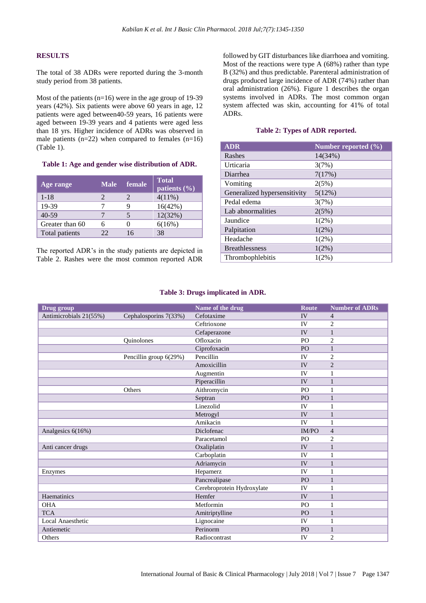## **RESULTS**

The total of 38 ADRs were reported during the 3-month study period from 38 patients.

Most of the patients (n=16) were in the age group of 19-39 years (42%). Six patients were above 60 years in age, 12 patients were aged between40-59 years, 16 patients were aged between 19-39 years and 4 patients were aged less than 18 yrs. Higher incidence of ADRs was observed in male patients  $(n=22)$  when compared to females  $(n=16)$ (Table 1).

#### **Table 1: Age and gender wise distribution of ADR.**

| Age range       | <b>Male</b> | female | <b>Total</b><br>patients $(\% )$ |
|-----------------|-------------|--------|----------------------------------|
| $1 - 18$        |             |        | $4(11\%)$                        |
| 19-39           |             |        | 16(42%)                          |
| $40 - 59$       |             |        | 12(32%)                          |
| Greater than 60 |             |        | 6(16%)                           |
| Total patients  | 22          | 16     | 38                               |

The reported ADR's in the study patients are depicted in Table 2. Rashes were the most common reported ADR followed by GIT disturbances like diarrhoea and vomiting. Most of the reactions were type A (68%) rather than type B (32%) and thus predictable. Parenteral administration of drugs produced large incidence of ADR (74%) rather than oral administration (26%). Figure 1 describes the organ systems involved in ADRs. The most common organ system affected was skin, accounting for 41% of total ADRs.

## **Table 2: Types of ADR reported.**

| <b>ADR</b>                   | Number reported $(\% )$ |
|------------------------------|-------------------------|
| Rashes                       | 14(34%)                 |
| Urticaria                    | 3(7%)                   |
| Diarrhea                     | 7(17%)                  |
| Vomiting                     | 2(5%)                   |
| Generalized hypersensitivity | 5(12%)                  |
| Pedal edema                  | 3(7%)                   |
| Lab abnormalities            | 2(5%)                   |
| Jaundice                     | $1(2\%)$                |
| Palpitation                  | $1(2\%)$                |
| Headache                     | $1(2\%)$                |
| <b>Breathlessness</b>        | $1(2\%)$                |
| Thrombophlebitis             | 1(2%)                   |

#### **Table 3: Drugs implicated in ADR.**

| Drug group             |                        | Name of the drug           | <b>Route</b>   | <b>Number of ADRs</b> |
|------------------------|------------------------|----------------------------|----------------|-----------------------|
| Antimicrobials 21(55%) | Cephalosporins 7(33%)  | Cefotaxime                 | IV             | $\overline{4}$        |
|                        |                        | Ceftrioxone                | IV             | $\overline{2}$        |
|                        |                        | Cefaperazone               | IV             | $\mathbf{1}$          |
|                        | Quinolones             | Ofloxacin                  | PO             | $\overline{c}$        |
|                        |                        | Ciprofoxacin               | PO             | $\mathbf{1}$          |
|                        | Pencillin group 6(29%) | Pencillin                  | IV             | $\overline{c}$        |
|                        |                        | Amoxicillin                | IV             | $\overline{2}$        |
|                        |                        | Augmentin                  | IV             | 1                     |
|                        |                        | Piperacillin               | IV             | $\mathbf{1}$          |
|                        | Others                 | Aithromycin                | PO             | 1                     |
|                        |                        | Septran                    | PO             | $\mathbf{1}$          |
|                        |                        | Linezolid                  | IV             | 1                     |
|                        |                        | Metrogyl                   | IV             | $\mathbf{1}$          |
|                        |                        | Amikacin                   | IV             | 1                     |
| Analgesics 6(16%)      |                        | Diclofenac                 | <b>IM/PO</b>   | $\overline{4}$        |
|                        |                        | Paracetamol                | P <sub>O</sub> | $\overline{2}$        |
| Anti cancer drugs      |                        | Oxaliplatin                | IV             | $\mathbf{1}$          |
|                        |                        | Carboplatin                | IV             | 1                     |
|                        |                        | Adriamycin                 | IV             | 1                     |
| Enzymes                |                        | Hepamerz                   | <b>IV</b>      | 1                     |
|                        |                        | Pancrealipase              | PO             | $\mathbf{1}$          |
|                        |                        | Cerebroprotein Hydroxylate | IV             | 1                     |
| Haematinics            |                        | Hemfer                     | IV             | $\mathbf{1}$          |
| <b>OHA</b>             |                        | Metformin                  | PO             | $\mathbf{1}$          |
| <b>TCA</b>             |                        | Amitriptylline             | PO             | $\mathbf{1}$          |
| Local Anaesthetic      |                        | Lignocaine                 | IV             | 1                     |
| Antiemetic             |                        | Perinorm                   | PO             | $\mathbf{1}$          |
| Others                 |                        | Radiocontrast              | IV             | $\overline{2}$        |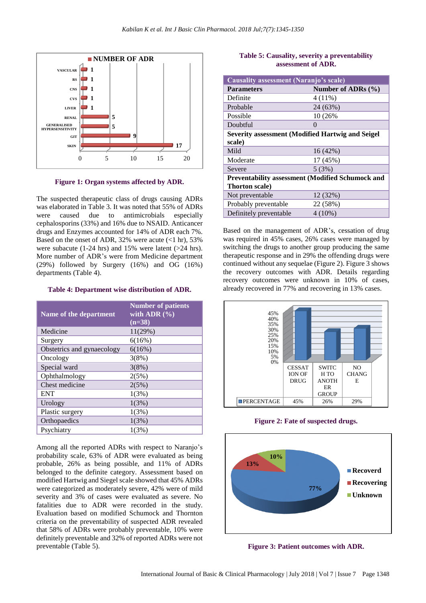

**Figure 1: Organ systems affected by ADR.**

The suspected therapeutic class of drugs causing ADRs was elaborated in Table 3. It was noted that 55% of ADRs were caused due to antimicrobials especially cephalosporins (33%) and 16% due to NSAID. Anticancer drugs and Enzymes accounted for 14% of ADR each 7%. Based on the onset of ADR, 32% were acute  $\left($ <1 hr), 53% were subacute (1-24 hrs) and 15% were latent (>24 hrs). More number of ADR's were from Medicine department (29%) followed by Surgery (16%) and OG (16%) departments (Table 4).

#### **Table 4: Department wise distribution of ADR.**

| Name of the department     | <b>Number of patients</b><br>with ADR $(\% )$<br>$(n=38)$ |
|----------------------------|-----------------------------------------------------------|
| Medicine                   | 11(29%)                                                   |
| Surgery                    | 6(16%)                                                    |
| Obstetrics and gynaecology | 6(16%)                                                    |
| Oncology                   | 3(8%)                                                     |
| Special ward               | 3(8%)                                                     |
| Ophthalmology              | 2(5%)                                                     |
| Chest medicine             | 2(5%)                                                     |
| <b>ENT</b>                 | 1(3%)                                                     |
| Urology                    | 1(3%)                                                     |
| Plastic surgery            | 1(3%)                                                     |
| Orthopaedics               | 1(3%)                                                     |
| Psychiatry                 | 1(3%)                                                     |

Among all the reported ADRs with respect to Naranjo's probability scale, 63% of ADR were evaluated as being probable, 26% as being possible, and 11% of ADRs belonged to the definite category. Assessment based on modified Hartwig and Siegel scale showed that 45% ADRs were categorized as moderately severe, 42% were of mild severity and 3% of cases were evaluated as severe. No fatalities due to ADR were recorded in the study. Evaluation based on modified Schumock and Thornton criteria on the preventability of suspected ADR revealed that 58% of ADRs were probably preventable, 10% were definitely preventable and 32% of reported ADRs were not preventable (Table 5).

## **Table 5: Causality, severity a preventability assessment of ADR.**

| <b>Causality assessment (Naranjo's scale)</b>            |                        |  |
|----------------------------------------------------------|------------------------|--|
| <b>Parameters</b>                                        | Number of ADRs $(\% )$ |  |
| Definite                                                 | $4(11\%)$              |  |
| Probable                                                 | 24 (63%)               |  |
| Possible                                                 | 10 (26%)               |  |
| Doubtful                                                 | 0                      |  |
| <b>Severity assessment (Modified Hartwig and Seigel</b>  |                        |  |
| scale)                                                   |                        |  |
| Mild                                                     | 16(42%)                |  |
| Moderate                                                 | 17 (45%)               |  |
| Severe                                                   | 5(3%)                  |  |
| <b>Preventability assessment (Modified Schumock and </b> |                        |  |
| <b>Thorton scale</b> )                                   |                        |  |
| Not preventable                                          | 12 (32%)               |  |
| Probably preventable                                     | 22 (58%)               |  |
| Definitely preventable                                   | $4(10\%)$              |  |

Based on the management of ADR's, cessation of drug was required in 45% cases, 26% cases were managed by switching the drugs to another group producing the same therapeutic response and in 29% the offending drugs were continued without any sequelae (Figure 2). Figure 3 shows the recovery outcomes with ADR. Details regarding recovery outcomes were unknown in 10% of cases, already recovered in 77% and recovering in 13% cases.



**Figure 2: Fate of suspected drugs.**



**Figure 3: Patient outcomes with ADR.**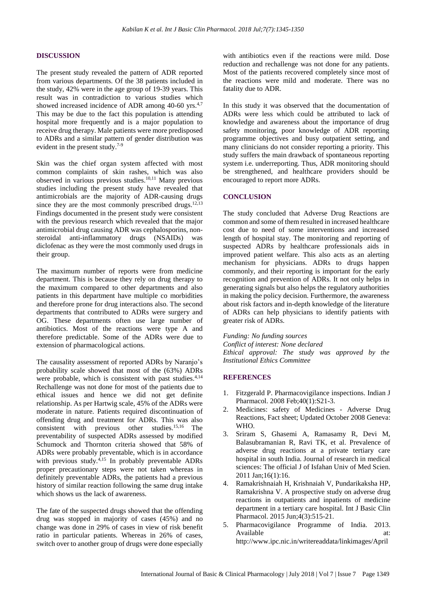#### **DISCUSSION**

The present study revealed the pattern of ADR reported from various departments. Of the 38 patients included in the study, 42% were in the age group of 19-39 years. This result was in contradiction to various studies which showed increased incidence of ADR among 40-60 yrs.<sup>4,7</sup> This may be due to the fact this population is attending hospital more frequently and is a major population to receive drug therapy. Male patients were more predisposed to ADRs and a similar pattern of gender distribution was evident in the present study.<sup>7-9</sup>

Skin was the chief organ system affected with most common complaints of skin rashes, which was also observed in various previous studies. 10,11 Many previous studies including the present study have revealed that antimicrobials are the majority of ADR-causing drugs since they are the most commonly prescribed drugs.<sup>12,13</sup> Findings documented in the present study were consistent with the previous research which revealed that the major antimicrobial drug causing ADR was cephalosporins, nonsteroidal anti-inflammatory drugs (NSAIDs) was diclofenac as they were the most commonly used drugs in their group.

The maximum number of reports were from medicine department. This is because they rely on drug therapy to the maximum compared to other departments and also patients in this department have multiple co morbidities and therefore prone for drug interactions also. The second departments that contributed to ADRs were surgery and OG. These departments often use large number of antibiotics. Most of the reactions were type A and therefore predictable. Some of the ADRs were due to extension of pharmacological actions.

The causality assessment of reported ADRs by Naranjo's probability scale showed that most of the (63%) ADRs were probable, which is consistent with past studies. 4,14 Rechallenge was not done for most of the patients due to ethical issues and hence we did not get definite relationship. As per Hartwig scale, 45% of the ADRs were moderate in nature. Patients required discontinuation of offending drug and treatment for ADRs. This was also consistent with previous other studies. 15,16 The preventability of suspected ADRs assessed by modified Schumock and Thornton criteria showed that 58% of ADRs were probably preventable, which is in accordance with previous study.<sup>4,15</sup> In probably preventable ADRs proper precautionary steps were not taken whereas in definitely preventable ADRs, the patients had a previous history of similar reaction following the same drug intake which shows us the lack of awareness.

The fate of the suspected drugs showed that the offending drug was stopped in majority of cases (45%) and no change was done in 29% of cases in view of risk benefit ratio in particular patients. Whereas in 26% of cases, switch over to another group of drugs were done especially with antibiotics even if the reactions were mild. Dose reduction and rechallenge was not done for any patients. Most of the patients recovered completely since most of the reactions were mild and moderate. There was no fatality due to ADR.

In this study it was observed that the documentation of ADRs were less which could be attributed to lack of knowledge and awareness about the importance of drug safety monitoring, poor knowledge of ADR reporting programme objectives and busy outpatient setting, and many clinicians do not consider reporting a priority. This study suffers the main drawback of spontaneous reporting system i.e. underreporting. Thus, ADR monitoring should be strengthened, and healthcare providers should be encouraged to report more ADRs.

## **CONCLUSION**

The study concluded that Adverse Drug Reactions are common and some of them resulted in increased healthcare cost due to need of some interventions and increased length of hospital stay. The monitoring and reporting of suspected ADRs by healthcare professionals aids in improved patient welfare. This also acts as an alerting mechanism for physicians. ADRs to drugs happen commonly, and their reporting is important for the early recognition and prevention of ADRs. It not only helps in generating signals but also helps the regulatory authorities in making the policy decision. Furthermore, the awareness about risk factors and in-depth knowledge of the literature of ADRs can help physicians to identify patients with greater risk of ADRs.

## *Funding: No funding sources*

*Conflict of interest: None declared Ethical approval: The study was approved by the Institutional Ethics Committee*

#### **REFERENCES**

- 1. Fitzgerald P. Pharmacovigilance inspections. Indian J Pharmacol. 2008 Feb;40(1):S21-3.
- 2. Medicines: safety of Medicines Adverse Drug Reactions, Fact sheet; Updated October 2008 Geneva: WHO.
- 3. Sriram S, Ghasemi A, Ramasamy R, Devi M, Balasubramanian R, Ravi TK, et al. Prevalence of adverse drug reactions at a private tertiary care hospital in south India. Journal of research in medical sciences: The official J of Isfahan Univ of Med Scien. 2011 Jan;16(1):16.
- 4. Ramakrishnaiah H, Krishnaiah V, Pundarikaksha HP, Ramakrishna V. A prospective study on adverse drug reactions in outpatients and inpatients of medicine department in a tertiary care hospital. Int J Basic Clin Pharmacol. 2015 Jun;4(3):515-21.
- 5. Pharmacovigilance Programme of India. 2013. Available at: at: http://www.ipc.nic.in/writereaddata/linkimages/April